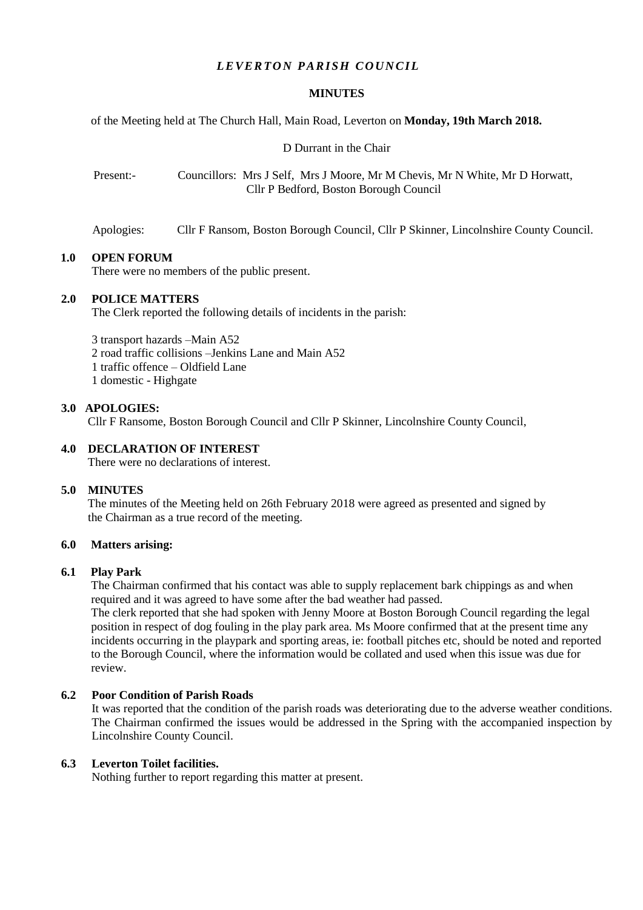## *LEVERTON PARISH COUNCIL*

#### **MINUTES**

of the Meeting held at The Church Hall, Main Road, Leverton on **Monday, 19th March 2018.**

D Durrant in the Chair

Present:- Councillors: Mrs J Self, Mrs J Moore, Mr M Chevis, Mr N White, Mr D Horwatt, Cllr P Bedford, Boston Borough Council

Apologies: Cllr F Ransom, Boston Borough Council, Cllr P Skinner, Lincolnshire County Council.

#### **1.0 OPEN FORUM**

There were no members of the public present.

## **2.0 POLICE MATTERS**

The Clerk reported the following details of incidents in the parish:

3 transport hazards –Main A52

2 road traffic collisions –Jenkins Lane and Main A52

1 traffic offence – Oldfield Lane

1 domestic - Highgate

#### **3.0 APOLOGIES:**

Cllr F Ransome, Boston Borough Council and Cllr P Skinner, Lincolnshire County Council,

#### **4.0 DECLARATION OF INTEREST**

There were no declarations of interest.

## **5.0 MINUTES**

 The minutes of the Meeting held on 26th February 2018 were agreed as presented and signed by the Chairman as a true record of the meeting.

#### **6.0 Matters arising:**

#### **6.1 Play Park**

The Chairman confirmed that his contact was able to supply replacement bark chippings as and when required and it was agreed to have some after the bad weather had passed.

The clerk reported that she had spoken with Jenny Moore at Boston Borough Council regarding the legal position in respect of dog fouling in the play park area. Ms Moore confirmed that at the present time any incidents occurring in the playpark and sporting areas, ie: football pitches etc, should be noted and reported to the Borough Council, where the information would be collated and used when this issue was due for review.

## **6.2 Poor Condition of Parish Roads**

It was reported that the condition of the parish roads was deteriorating due to the adverse weather conditions. The Chairman confirmed the issues would be addressed in the Spring with the accompanied inspection by Lincolnshire County Council.

## **6.3 Leverton Toilet facilities.**

Nothing further to report regarding this matter at present.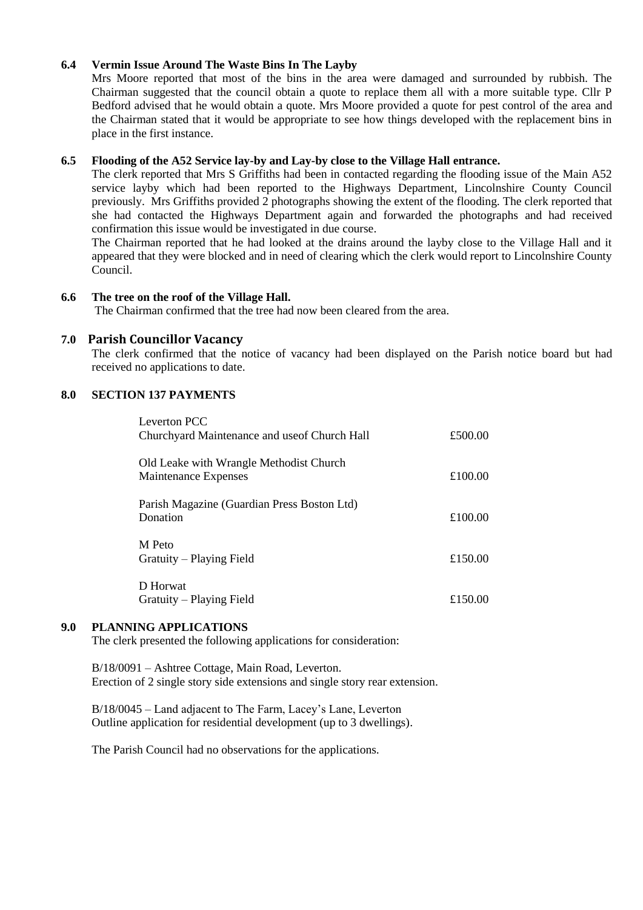## **6.4 Vermin Issue Around The Waste Bins In The Layby**

Mrs Moore reported that most of the bins in the area were damaged and surrounded by rubbish. The Chairman suggested that the council obtain a quote to replace them all with a more suitable type. Cllr P Bedford advised that he would obtain a quote. Mrs Moore provided a quote for pest control of the area and the Chairman stated that it would be appropriate to see how things developed with the replacement bins in place in the first instance.

## **6.5 Flooding of the A52 Service lay-by and Lay-by close to the Village Hall entrance.**

The clerk reported that Mrs S Griffiths had been in contacted regarding the flooding issue of the Main A52 service layby which had been reported to the Highways Department, Lincolnshire County Council previously. Mrs Griffiths provided 2 photographs showing the extent of the flooding. The clerk reported that she had contacted the Highways Department again and forwarded the photographs and had received confirmation this issue would be investigated in due course.

The Chairman reported that he had looked at the drains around the layby close to the Village Hall and it appeared that they were blocked and in need of clearing which the clerk would report to Lincolnshire County Council.

## **6.6 The tree on the roof of the Village Hall.**

The Chairman confirmed that the tree had now been cleared from the area.

## **7.0 Parish Councillor Vacancy**

The clerk confirmed that the notice of vacancy had been displayed on the Parish notice board but had received no applications to date.

## **8.0 SECTION 137 PAYMENTS**

| Leverton PCC<br>Churchyard Maintenance and use of Church Hall   | £500.00 |
|-----------------------------------------------------------------|---------|
| Old Leake with Wrangle Methodist Church<br>Maintenance Expenses | £100.00 |
| Parish Magazine (Guardian Press Boston Ltd)<br>Donation         | £100.00 |
| M Peto<br>Gratuity – Playing Field                              | £150.00 |
| D Horwat<br>Gratuity – Playing Field                            | £150.00 |

## **9.0 PLANNING APPLICATIONS**

The clerk presented the following applications for consideration:

B/18/0091 – Ashtree Cottage, Main Road, Leverton. Erection of 2 single story side extensions and single story rear extension.

B/18/0045 – Land adjacent to The Farm, Lacey's Lane, Leverton Outline application for residential development (up to 3 dwellings).

The Parish Council had no observations for the applications.